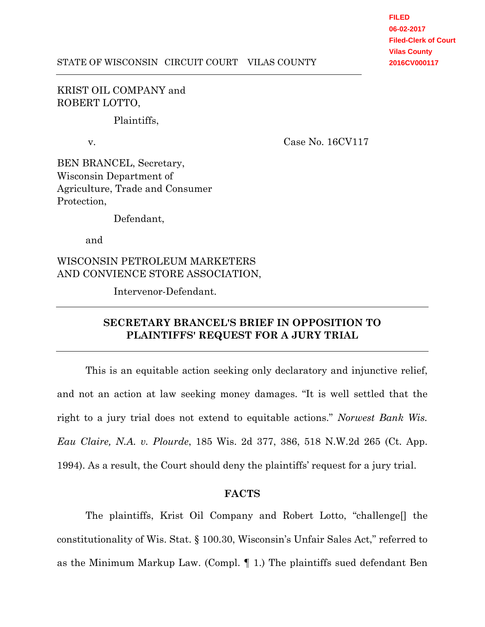**FILED 06-02-2017 Filed-Clerk of Court Vilas County 2016CV000117**

## KRIST OIL COMPANY and ROBERT LOTTO,

Plaintiffs,

v. Case No. 16CV117

BEN BRANCEL, Secretary, Wisconsin Department of Agriculture, Trade and Consumer Protection,

Defendant,

and

WISCONSIN PETROLEUM MARKETERS AND CONVIENCE STORE ASSOCIATION,

Intervenor-Defendant.

# **SECRETARY BRANCEL'S BRIEF IN OPPOSITION TO PLAINTIFFS' REQUEST FOR A JURY TRIAL**

This is an equitable action seeking only declaratory and injunctive relief, and not an action at law seeking money damages. "It is well settled that the right to a jury trial does not extend to equitable actions." *Norwest Bank Wis. Eau Claire, N.A. v. Plourde*, 185 Wis. 2d 377, 386, 518 N.W.2d 265 (Ct. App. 1994). As a result, the Court should deny the plaintiffs' request for a jury trial.

### **FACTS**

The plaintiffs, Krist Oil Company and Robert Lotto, "challenge[] the constitutionality of Wis. Stat. § 100.30, Wisconsin's Unfair Sales Act," referred to as the Minimum Markup Law. (Compl. ¶ 1.) The plaintiffs sued defendant Ben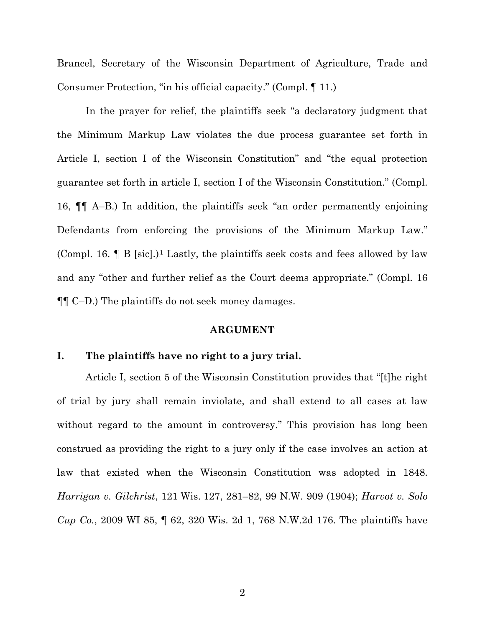Brancel, Secretary of the Wisconsin Department of Agriculture, Trade and Consumer Protection, "in his official capacity." (Compl. ¶ 11.)

In the prayer for relief, the plaintiffs seek "a declaratory judgment that the Minimum Markup Law violates the due process guarantee set forth in Article I, section I of the Wisconsin Constitution" and "the equal protection guarantee set forth in article I, section I of the Wisconsin Constitution." (Compl. 16, ¶¶ A–B.) In addition, the plaintiffs seek "an order permanently enjoining Defendants from enforcing the provisions of the Minimum Markup Law." (Compl. 16.  $\parallel$  B [sic].)<sup>1</sup> Lastly, the plaintiffs seek costs and fees allowed by law and any "other and further relief as the Court deems appropriate." (Compl. 16 ¶¶ C–D.) The plaintiffs do not seek money damages.

#### **ARGUMENT**

### **I. The plaintiffs have no right to a jury trial.**

Article I, section 5 of the Wisconsin Constitution provides that "[t]he right of trial by jury shall remain inviolate, and shall extend to all cases at law without regard to the amount in controversy." This provision has long been construed as providing the right to a jury only if the case involves an action at law that existed when the Wisconsin Constitution was adopted in 1848. *Harrigan v. Gilchrist*, 121 Wis. 127, 281–82, 99 N.W. 909 (1904); *Harvot v. Solo Cup Co.*, 2009 WI 85, ¶ 62, 320 Wis. 2d 1, 768 N.W.2d 176. The plaintiffs have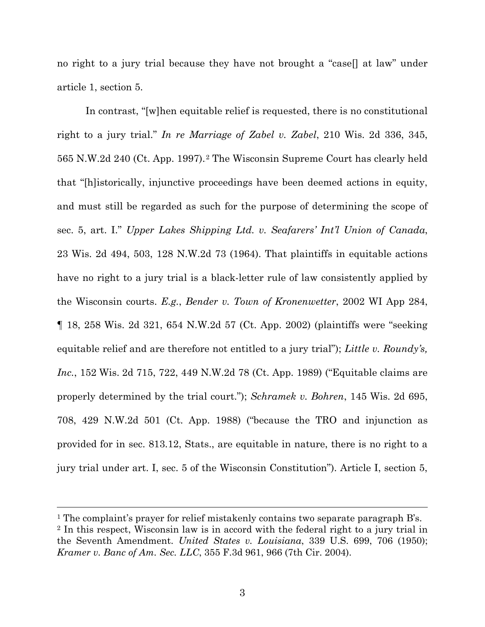no right to a jury trial because they have not brought a "case[] at law" under article 1, section 5.

In contrast, "[w]hen equitable relief is requested, there is no constitutional right to a jury trial." *In re Marriage of Zabel v. Zabel*, 210 Wis. 2d 336, 345, 565 N.W.2d 240 (Ct. App. 1997).<sup>2</sup> The Wisconsin Supreme Court has clearly held that "[h]istorically, injunctive proceedings have been deemed actions in equity, and must still be regarded as such for the purpose of determining the scope of sec. 5, art. I." *Upper Lakes Shipping Ltd. v. Seafarers' Int'l Union of Canada*, 23 Wis. 2d 494, 503, 128 N.W.2d 73 (1964). That plaintiffs in equitable actions have no right to a jury trial is a black-letter rule of law consistently applied by the Wisconsin courts. *E.g.*, *Bender v. Town of Kronenwetter*, 2002 WI App 284, ¶ 18, 258 Wis. 2d 321, 654 N.W.2d 57 (Ct. App. 2002) (plaintiffs were "seeking equitable relief and are therefore not entitled to a jury trial"); *Little v. Roundy's, Inc.*, 152 Wis. 2d 715, 722, 449 N.W.2d 78 (Ct. App. 1989) ("Equitable claims are properly determined by the trial court."); *Schramek v. Bohren*, 145 Wis. 2d 695, 708, 429 N.W.2d 501 (Ct. App. 1988) ("because the TRO and injunction as provided for in sec. 813.12, Stats., are equitable in nature, there is no right to a jury trial under art. I, sec. 5 of the Wisconsin Constitution"). Article I, section 5,

 <sup>1</sup> The complaint's prayer for relief mistakenly contains two separate paragraph B's. <sup>2</sup> In this respect, Wisconsin law is in accord with the federal right to a jury trial in the Seventh Amendment. *United States v. Louisiana*, 339 U.S. 699, 706 (1950); *Kramer v. Banc of Am. Sec. LLC*, 355 F.3d 961, 966 (7th Cir. 2004).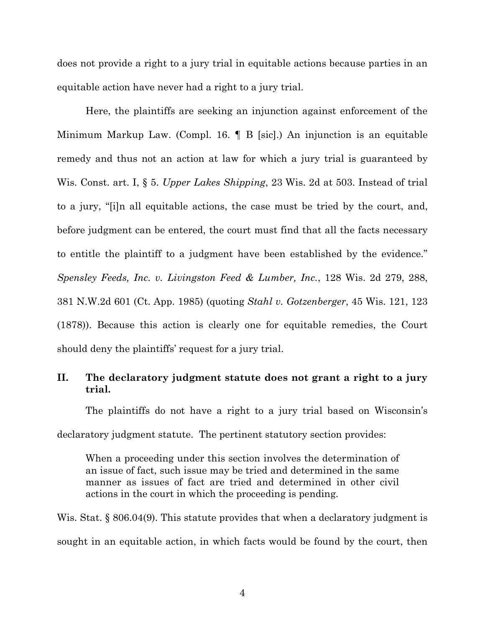does not provide a right to a jury trial in equitable actions because parties in an equitable action have never had a right to a jury trial.

Here, the plaintiffs are seeking an injunction against enforcement of the Minimum Markup Law. (Compl. 16. ¶ B [sic].) An injunction is an equitable remedy and thus not an action at law for which a jury trial is guaranteed by Wis. Const. art. I, § 5. *Upper Lakes Shipping*, 23 Wis. 2d at 503. Instead of trial to a jury, "[i]n all equitable actions, the case must be tried by the court, and, before judgment can be entered, the court must find that all the facts necessary to entitle the plaintiff to a judgment have been established by the evidence." *Spensley Feeds, Inc. v. Livingston Feed & Lumber, Inc.*, 128 Wis. 2d 279, 288, 381 N.W.2d 601 (Ct. App. 1985) (quoting *Stahl v. Gotzenberger*, 45 Wis. 121, 123 (1878)). Because this action is clearly one for equitable remedies, the Court should deny the plaintiffs' request for a jury trial.

## **II. The declaratory judgment statute does not grant a right to a jury trial.**

The plaintiffs do not have a right to a jury trial based on Wisconsin's declaratory judgment statute. The pertinent statutory section provides:

When a proceeding under this section involves the determination of an issue of fact, such issue may be tried and determined in the same manner as issues of fact are tried and determined in other civil actions in the court in which the proceeding is pending.

Wis. Stat. § 806.04(9). This statute provides that when a declaratory judgment is sought in an equitable action, in which facts would be found by the court, then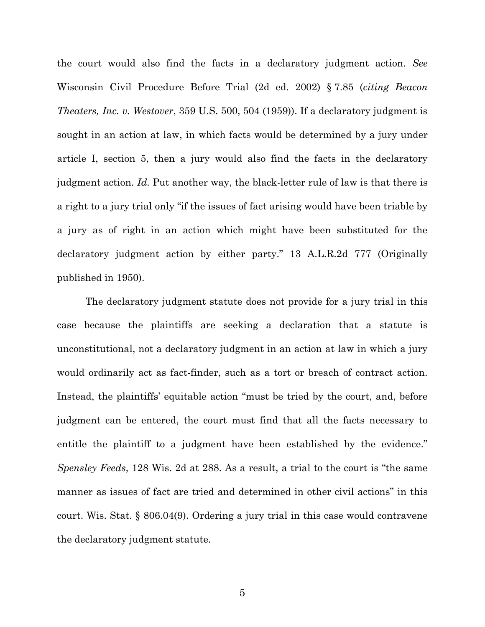the court would also find the facts in a declaratory judgment action. *See* Wisconsin Civil Procedure Before Trial (2d ed. 2002) § 7.85 (*citing Beacon Theaters, Inc. v. Westover*, 359 U.S. 500, 504 (1959)). If a declaratory judgment is sought in an action at law, in which facts would be determined by a jury under article I, section 5, then a jury would also find the facts in the declaratory judgment action. *Id.* Put another way, the black-letter rule of law is that there is a right to a jury trial only "if the issues of fact arising would have been triable by a jury as of right in an action which might have been substituted for the declaratory judgment action by either party." 13 A.L.R.2d 777 (Originally published in 1950).

The declaratory judgment statute does not provide for a jury trial in this case because the plaintiffs are seeking a declaration that a statute is unconstitutional, not a declaratory judgment in an action at law in which a jury would ordinarily act as fact-finder, such as a tort or breach of contract action. Instead, the plaintiffs' equitable action "must be tried by the court, and, before judgment can be entered, the court must find that all the facts necessary to entitle the plaintiff to a judgment have been established by the evidence." *Spensley Feeds*, 128 Wis. 2d at 288. As a result, a trial to the court is "the same manner as issues of fact are tried and determined in other civil actions" in this court. Wis. Stat. § 806.04(9). Ordering a jury trial in this case would contravene the declaratory judgment statute.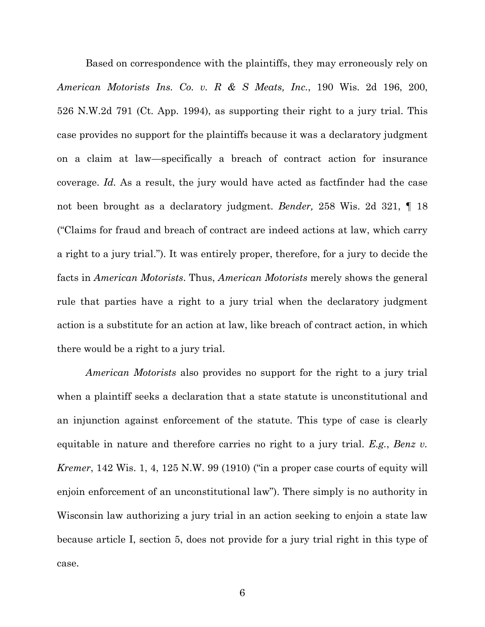Based on correspondence with the plaintiffs, they may erroneously rely on *American Motorists Ins. Co. v. R & S Meats, Inc.*, 190 Wis. 2d 196, 200, 526 N.W.2d 791 (Ct. App. 1994), as supporting their right to a jury trial. This case provides no support for the plaintiffs because it was a declaratory judgment on a claim at law—specifically a breach of contract action for insurance coverage. *Id.* As a result, the jury would have acted as factfinder had the case not been brought as a declaratory judgment. *Bender,* 258 Wis. 2d 321, ¶ 18 ("Claims for fraud and breach of contract are indeed actions at law, which carry a right to a jury trial."). It was entirely proper, therefore, for a jury to decide the facts in *American Motorists*. Thus, *American Motorists* merely shows the general rule that parties have a right to a jury trial when the declaratory judgment action is a substitute for an action at law, like breach of contract action, in which there would be a right to a jury trial.

*American Motorists* also provides no support for the right to a jury trial when a plaintiff seeks a declaration that a state statute is unconstitutional and an injunction against enforcement of the statute. This type of case is clearly equitable in nature and therefore carries no right to a jury trial. *E.g.*, *Benz v. Kremer*, 142 Wis. 1, 4, 125 N.W. 99 (1910) ("in a proper case courts of equity will enjoin enforcement of an unconstitutional law"). There simply is no authority in Wisconsin law authorizing a jury trial in an action seeking to enjoin a state law because article I, section 5, does not provide for a jury trial right in this type of case.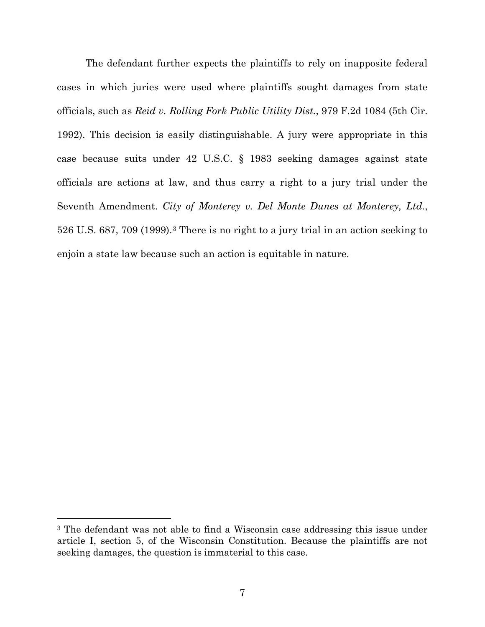The defendant further expects the plaintiffs to rely on inapposite federal cases in which juries were used where plaintiffs sought damages from state officials, such as *Reid v. Rolling Fork Public Utility Dist.*, 979 F.2d 1084 (5th Cir. 1992). This decision is easily distinguishable. A jury were appropriate in this case because suits under 42 U.S.C. § 1983 seeking damages against state officials are actions at law, and thus carry a right to a jury trial under the Seventh Amendment. *City of Monterey v. Del Monte Dunes at Monterey, Ltd.*, 526 U.S. 687, 709 (1999).<sup>3</sup> There is no right to a jury trial in an action seeking to enjoin a state law because such an action is equitable in nature.

 $\overline{a}$ 

<sup>3</sup> The defendant was not able to find a Wisconsin case addressing this issue under article I, section 5, of the Wisconsin Constitution. Because the plaintiffs are not seeking damages, the question is immaterial to this case.